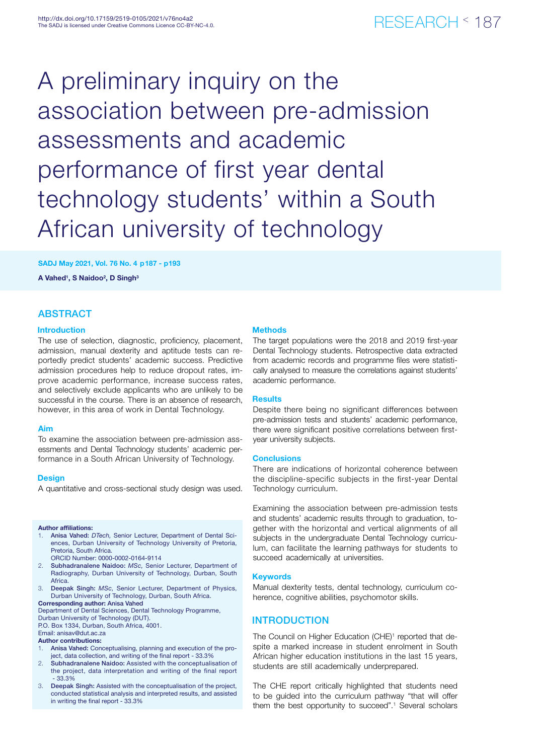# A preliminary inquiry on the association between pre-admission assessments and academic performance of first year dental technology students' within a South African university of technology

## SADJ May 2021, Vol. 76 No. 4 p187 - p193

A Vahed<sup>1</sup>, S Naidoo<sup>2</sup>, D Singh<sup>3</sup>

# ABSTRACT

### Introduction

The use of selection, diagnostic, proficiency, placement, admission, manual dexterity and aptitude tests can reportedly predict students' academic success. Predictive admission procedures help to reduce dropout rates, improve academic performance, increase success rates, and selectively exclude applicants who are unlikely to be successful in the course. There is an absence of research, however, in this area of work in Dental Technology.

### Aim

To examine the association between pre-admission assessments and Dental Technology students' academic performance in a South African University of Technology.

#### **Design**

A quantitative and cross-sectional study design was used.

#### Author affiliations:

- 1. Anisa Vahed: *DTech,* Senior Lecturer, Department of Dental Sciences, Durban University of Technology University of Pretoria, Pretoria, South Africa.
- ORCID Number: 0000-0002-0164-9114
- 2. Subhadranalene Naidoo: *MSc,* Senior Lecturer, Department of Radiography, Durban University of Technology, Durban, South **Africa**
- 3. Deepak Singh: *MSc,* Senior Lecturer, Department of Physics, Durban University of Technology, Durban, South Africa.

Corresponding author: Anisa Vahed

Department of Dental Sciences, Dental Technology Programme, Durban University of Technology (DUT).

P.O. Box 1334, Durban, South Africa, 4001. Email: anisav@dut.ac.za

# Author contributions:

- Anisa Vahed: Conceptualising, planning and execution of the project, data collection, and writing of the final report - 33.3%
- 2. Subhadranalene Naidoo: Assisted with the conceptualisation of the project, data interpretation and writing of the final report - 33.3%
- 3. Deepak Singh: Assisted with the conceptualisation of the project, conducted statistical analysis and interpreted results, and assisted in writing the final report - 33.3%

#### **Methods**

The target populations were the 2018 and 2019 first-year Dental Technology students. Retrospective data extracted from academic records and programme files were statistically analysed to measure the correlations against students' academic performance.

#### **Results**

Despite there being no significant differences between pre-admission tests and students' academic performance, there were significant positive correlations between firstyear university subjects.

#### Conclusions

There are indications of horizontal coherence between the discipline-specific subjects in the first-year Dental Technology curriculum.

Examining the association between pre-admission tests and students' academic results through to graduation, together with the horizontal and vertical alignments of all subjects in the undergraduate Dental Technology curriculum, can facilitate the learning pathways for students to succeed academically at universities.

#### **Keywords**

Manual dexterity tests, dental technology, curriculum coherence, cognitive abilities, psychomotor skills.

# INTRODUCTION

The Council on Higher Education (CHE)<sup>1</sup> reported that despite a marked increase in student enrolment in South African higher education institutions in the last 15 years, students are still academically underprepared.

The CHE report critically highlighted that students need to be guided into the curriculum pathway "that will offer them the best opportunity to succeed".<sup>1</sup> Several scholars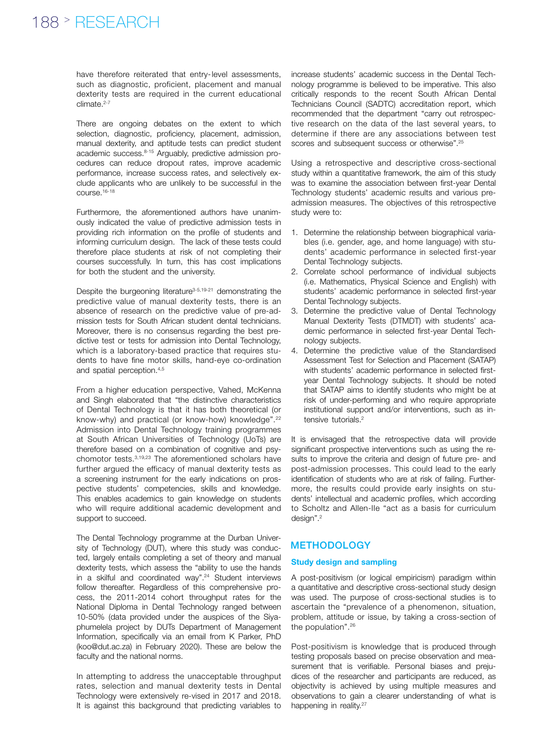have therefore reiterated that entry-level assessments, such as diagnostic, proficient, placement and manual dexterity tests are required in the current educational  $climate.<sup>2-7</sup>$ 

There are ongoing debates on the extent to which selection, diagnostic, proficiency, placement, admission, manual dexterity, and aptitude tests can predict student academic success.8-15 Arguably, predictive admission procedures can reduce dropout rates, improve academic performance, increase success rates, and selectively exclude applicants who are unlikely to be successful in the course.16-18

Furthermore, the aforementioned authors have unanimously indicated the value of predictive admission tests in providing rich information on the profile of students and informing curriculum design. The lack of these tests could therefore place students at risk of not completing their courses successfully. In turn, this has cost implications for both the student and the university.

Despite the burgeoning literature<sup>3-5,19-21</sup> demonstrating the predictive value of manual dexterity tests, there is an absence of research on the predictive value of pre-admission tests for South African student dental technicians. Moreover, there is no consensus regarding the best predictive test or tests for admission into Dental Technology, which is a laboratory-based practice that requires students to have fine motor skills, hand-eye co-ordination and spatial perception.4,5

From a higher education perspective, Vahed, McKenna and Singh elaborated that "the distinctive characteristics of Dental Technology is that it has both theoretical (or know-why) and practical (or know-how) knowledge".<sup>22</sup> Admission into Dental Technology training programmes at South African Universities of Technology (UoTs) are therefore based on a combination of cognitive and psychomotor tests.3,19,23 The aforementioned scholars have further argued the efficacy of manual dexterity tests as a screening instrument for the early indications on prospective students' competencies, skills and knowledge. This enables academics to gain knowledge on students who will require additional academic development and support to succeed.

The Dental Technology programme at the Durban University of Technology (DUT), where this study was conducted, largely entails completing a set of theory and manual dexterity tests, which assess the "ability to use the hands in a skilful and coordinated way".<sup>24</sup> Student interviews follow thereafter. Regardless of this comprehensive process, the 2011-2014 cohort throughput rates for the National Diploma in Dental Technology ranged between 10-50% (data provided under the auspices of the Siyaphumelela project by DUTs Department of Management Information, specifically via an email from K Parker, PhD (koo@dut.ac.za) in February 2020). These are below the faculty and the national norms.

In attempting to address the unacceptable throughput rates, selection and manual dexterity tests in Dental Technology were extensively re-vised in 2017 and 2018. It is against this background that predicting variables to

increase students' academic success in the Dental Technology programme is believed to be imperative. This also critically responds to the recent South African Dental Technicians Council (SADTC) accreditation report, which recommended that the department "carry out retrospective research on the data of the last several years, to determine if there are any associations between test scores and subsequent success or otherwise".25

Using a retrospective and descriptive cross-sectional study within a quantitative framework, the aim of this study was to examine the association between first-year Dental Technology students' academic results and various preadmission measures. The objectives of this retrospective study were to:

- 1. Determine the relationship between biographical variables (i.e. gender, age, and home language) with students' academic performance in selected first-year Dental Technology subjects.
- 2. Correlate school performance of individual subjects (i.e. Mathematics, Physical Science and English) with students' academic performance in selected first-year Dental Technology subjects.
- 3. Determine the predictive value of Dental Technology Manual Dexterity Tests (DTMDT) with students' academic performance in selected first-year Dental Technology subjects.
- 4. Determine the predictive value of the Standardised Assessment Test for Selection and Placement (SATAP) with students' academic performance in selected firstyear Dental Technology subjects. It should be noted that SATAP aims to identify students who might be at risk of under-performing and who require appropriate institutional support and/or interventions, such as intensive tutorials.<sup>2</sup>

It is envisaged that the retrospective data will provide significant prospective interventions such as using the results to improve the criteria and design of future pre- and post-admission processes. This could lead to the early identification of students who are at risk of failing. Furthermore, the results could provide early insights on students' intellectual and academic profiles, which according to Scholtz and Allen-IIe "act as a basis for curriculum design".<sup>2</sup>

# **METHODOLOGY**

### Study design and sampling

A post-positivism (or logical empiricism) paradigm within a quantitative and descriptive cross-sectional study design was used. The purpose of cross-sectional studies is to ascertain the "prevalence of a phenomenon, situation, problem, attitude or issue, by taking a cross-section of the population".26

Post-positivism is knowledge that is produced through testing proposals based on precise observation and measurement that is verifiable. Personal biases and prejudices of the researcher and participants are reduced, as objectivity is achieved by using multiple measures and observations to gain a clearer understanding of what is happening in reality.<sup>27</sup>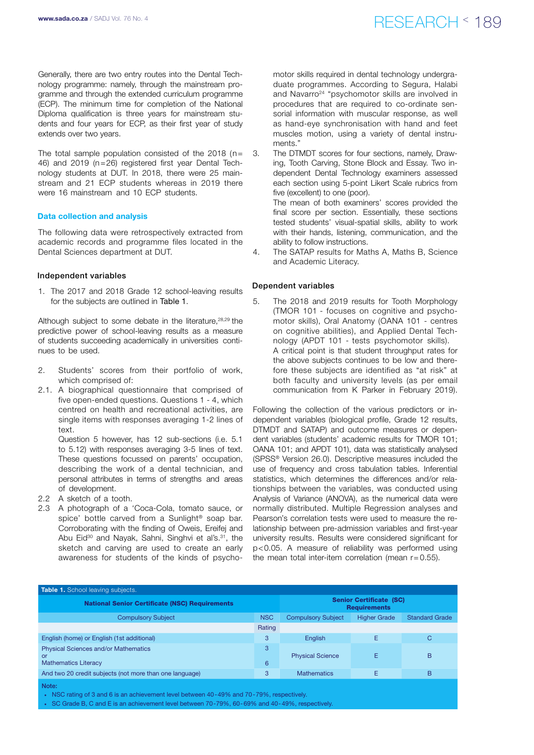Generally, there are two entry routes into the Dental Technology programme: namely, through the mainstream programme and through the extended curriculum programme (ECP). The minimum time for completion of the National Diploma qualification is three years for mainstream students and four years for ECP, as their first year of study extends over two years.

The total sample population consisted of the 2018 ( $n=$ 46) and 2019 (n=26) registered first year Dental Technology students at DUT. In 2018, there were 25 mainstream and 21 ECP students whereas in 2019 there were 16 mainstream and 10 ECP students.

#### Data collection and analysis

The following data were retrospectively extracted from academic records and programme files located in the Dental Sciences department at DUT.

#### Independent variables

1. The 2017 and 2018 Grade 12 school-leaving results for the subjects are outlined in Table 1.

Although subject to some debate in the literature, 28,29 the predictive power of school-leaving results as a measure of students succeeding academically in universities continues to be used.

- 2. Students' scores from their portfolio of work, which comprised of:
- 2.1. A biographical questionnaire that comprised of five open-ended questions. Questions 1 - 4, which centred on health and recreational activities, are single items with responses averaging 1-2 lines of text.

Question 5 however, has 12 sub-sections (i.e. 5.1 to 5.12) with responses averaging 3-5 lines of text. These questions focussed on parents' occupation, describing the work of a dental technician, and personal attributes in terms of strengths and areas of development.

- 2.2 A sketch of a tooth.
- 2.3 A photograph of a 'Coca-Cola, tomato sauce, or spice' bottle carved from a Sunlight<sup>®</sup> soap bar. Corroborating with the finding of Oweis, Ereifej and Abu Eid<sup>30</sup> and Nayak, Sahni, Singhvi et al's.<sup>31</sup>, the sketch and carving are used to create an early awareness for students of the kinds of psycho-

# www.sada.co.za / SADJ Vol. 76 No. 4  $RFSFARTH \leq 189$

motor skills required in dental technology undergraduate programmes. According to Segura, Halabi and Navarro<sup>24</sup> "psychomotor skills are involved in procedures that are required to co-ordinate sensorial information with muscular response, as well as hand-eye synchronisation with hand and feet muscles motion, using a variety of dental instruments."

3. The DTMDT scores for four sections, namely, Drawing, Tooth Carving, Stone Block and Essay. Two independent Dental Technology examiners assessed each section using 5-point Likert Scale rubrics from five (excellent) to one (poor).

> The mean of both examiners' scores provided the final score per section. Essentially, these sections tested students' visual-spatial skills, ability to work with their hands, listening, communication, and the ability to follow instructions.

4. The SATAP results for Maths A, Maths B, Science and Academic Literacy.

#### Dependent variables

5. The 2018 and 2019 results for Tooth Morphology (TMOR 101 - focuses on cognitive and psychomotor skills), Oral Anatomy (OANA 101 - centres on cognitive abilities), and Applied Dental Technology (APDT 101 - tests psychomotor skills). A critical point is that student throughput rates for the above subjects continues to be low and therefore these subjects are identified as "at risk" at both faculty and university levels (as per email communication from K Parker in February 2019).

Following the collection of the various predictors or independent variables (biological profile, Grade 12 results, DTMDT and SATAP) and outcome measures or dependent variables (students' academic results for TMOR 101; OANA 101; and APDT 101), data was statistically analysed (SPSS® Version 26.0). Descriptive measures included the use of frequency and cross tabulation tables. Inferential statistics, which determines the differences and/or relationships between the variables, was conducted using Analysis of Variance (ANOVA), as the numerical data were normally distributed. Multiple Regression analyses and Pearson's correlation tests were used to measure the relationship between pre-admission variables and first-year university results. Results were considered significant for p<0.05. A measure of reliability was performed using the mean total inter-item correlation (mean  $r = 0.55$ ).

| Table 1. School leaving subjects.                                                |                                                       |                           |                     |                       |  |  |  |  |  |  |
|----------------------------------------------------------------------------------|-------------------------------------------------------|---------------------------|---------------------|-----------------------|--|--|--|--|--|--|
| <b>National Senior Certificate (NSC) Requirements</b>                            | <b>Senior Certificate (SC)</b><br><b>Requirements</b> |                           |                     |                       |  |  |  |  |  |  |
| <b>Compulsory Subject</b>                                                        | <b>NSC</b>                                            | <b>Compulsory Subject</b> | <b>Higher Grade</b> | <b>Standard Grade</b> |  |  |  |  |  |  |
|                                                                                  | Rating                                                |                           |                     |                       |  |  |  |  |  |  |
| English (home) or English (1st additional)                                       | 3                                                     | English                   | Е                   | С                     |  |  |  |  |  |  |
| <b>Physical Sciences and/or Mathematics</b><br>or<br><b>Mathematics Literacy</b> | 3<br>6                                                | <b>Physical Science</b>   | Е                   | B                     |  |  |  |  |  |  |
| And two 20 credit subjects (not more than one language)                          | 3                                                     | <b>Mathematics</b>        | Е                   | B                     |  |  |  |  |  |  |
| Note:                                                                            |                                                       |                           |                     |                       |  |  |  |  |  |  |

• NSC rating of 3 and 6 is an achievement level between 40-49% and 70-79%, respectively.

• SC Grade B, C and E is an achievement level between 70-79%, 60-69% and 40-49%, respectively.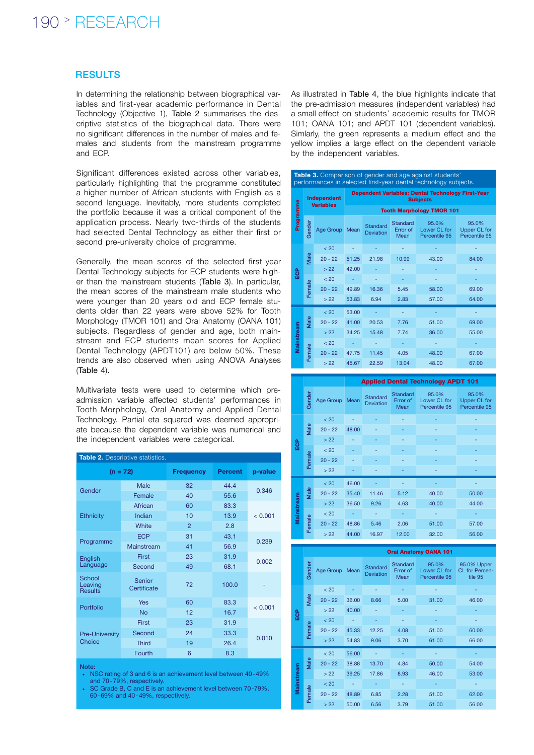# 190 > RESEARCH

## **RESULTS**

In determining the relationship between biographical variables and first-year academic performance in Dental Technology (Objective 1), Table 2 summarises the descriptive statistics of the biographical data. There were no significant differences in the number of males and females and students from the mainstream programme and ECP.

Significant differences existed across other variables, particularly highlighting that the programme constituted a higher number of African students with English as a second language. Inevitably, more students completed the portfolio because it was a critical component of the application process. Nearly two-thirds of the students had selected Dental Technology as either their first or second pre-university choice of programme.

Generally, the mean scores of the selected first-year Dental Technology subjects for ECP students were higher than the mainstream students (Table 3). In particular, the mean scores of the mainstream male students who were younger than 20 years old and ECP female students older than 22 years were above 52% for Tooth Morphology (TMOR 101) and Oral Anatomy (OANA 101) subjects. Regardless of gender and age, both mainstream and ECP students mean scores for Applied Dental Technology (APDT101) are below 50%. These trends are also observed when using ANOVA Analyses (Table 4).

Multivariate tests were used to determine which preadmission variable affected students' performances in Tooth Morphology, Oral Anatomy and Applied Dental Technology. Partial eta squared was deemed appropriate because the dependent variable was numerical and the independent variables were categorical.

| Table 2. Descriptive statistics. |                       |                  |                |         |  |  |  |  |  |
|----------------------------------|-----------------------|------------------|----------------|---------|--|--|--|--|--|
|                                  | $(n = 72)$            | <b>Frequency</b> | <b>Percent</b> | p-value |  |  |  |  |  |
| Gender                           | Male                  | 32               | 44.4           | 0.346   |  |  |  |  |  |
|                                  | Female                | 40               | 55.6           |         |  |  |  |  |  |
|                                  | African               | 60               | 83.3           |         |  |  |  |  |  |
| <b>Ethnicity</b>                 | Indian                | 10               | 13.9           | < 0.001 |  |  |  |  |  |
|                                  | White                 | $\mathcal{P}$    | 2.8            |         |  |  |  |  |  |
| Programme                        | <b>ECP</b>            | 31               | 43.1           | 0.239   |  |  |  |  |  |
|                                  | Mainstream            | 41               | 56.9           |         |  |  |  |  |  |
| English                          | First                 | 23               | 31.9           | 0.002   |  |  |  |  |  |
| Language                         | Second                | 49               | 68.1           |         |  |  |  |  |  |
| School<br>Leaving<br>Results     | Senior<br>Certificate | 72               | 100.0          |         |  |  |  |  |  |
| Portfolio                        | Yes                   | 60               | 83.3           | < 0.001 |  |  |  |  |  |
|                                  | No                    | 12               | 16.7           |         |  |  |  |  |  |
| Pre-University<br>Choice         | First                 | 23               | 31.9           |         |  |  |  |  |  |
|                                  | Second                | 24               | 33.3           |         |  |  |  |  |  |
|                                  | <b>Third</b>          | 19               | 26.4           | 0.010   |  |  |  |  |  |
|                                  | Fourth                | 6                | 8.3            |         |  |  |  |  |  |

Note:

• NSC rating of 3 and 6 is an achievement level between 40-49% and 70-79%, respectively.

• SC Grade B, C and E is an achievement level between 70-79%, 60-69% and 40-49%, respectively.

As illustrated in Table 4, the blue highlights indicate that the pre-admission measures (independent variables) had a small effect on students' academic results for TMOR 101; OANA 101; and APDT 101 (dependent variables). Simlarly, the green represents a medium effect and the yellow implies a large effect on the dependent variable by the independent variables.

| <b>Table 3.</b> Comparison of gender and age against students'<br>performances in selected first-year dental technology subjects. |                |                                 |                                                                      |                              |                              |                                        |                                        |  |  |  |
|-----------------------------------------------------------------------------------------------------------------------------------|----------------|---------------------------------|----------------------------------------------------------------------|------------------------------|------------------------------|----------------------------------------|----------------------------------------|--|--|--|
|                                                                                                                                   |                | Independent<br><b>Variables</b> | Dependent Variables: Dental Technology First-Year<br><b>Subjects</b> |                              |                              |                                        |                                        |  |  |  |
|                                                                                                                                   |                |                                 | <b>Tooth Morphology TMOR 101</b>                                     |                              |                              |                                        |                                        |  |  |  |
| Programme                                                                                                                         | Gender         | Age Group                       | Mean                                                                 | Standard<br><b>Deviation</b> | Standard<br>Error of<br>Mean | 95.0%<br>Lower CL for<br>Percentile 95 | 95.0%<br>Upper CL for<br>Percentile 95 |  |  |  |
|                                                                                                                                   |                | < 20                            |                                                                      |                              |                              |                                        |                                        |  |  |  |
|                                                                                                                                   | Male<br>Female | $20 - 22$                       | 51.25                                                                | 21.98                        | 10.99                        | 43.00                                  | 84.00                                  |  |  |  |
| <b>BO</b>                                                                                                                         |                | > 22                            | 42.00                                                                |                              |                              |                                        |                                        |  |  |  |
|                                                                                                                                   |                | < 20                            |                                                                      |                              |                              |                                        |                                        |  |  |  |
|                                                                                                                                   |                | $20 - 22$                       | 49.89                                                                | 16.36                        | 5.45                         | 58.00                                  | 69.00                                  |  |  |  |
|                                                                                                                                   |                | > 22                            | 53.83                                                                | 6.94                         | 2.83                         | 57.00                                  | 64.00                                  |  |  |  |
|                                                                                                                                   |                | < 20                            | 53.00                                                                |                              |                              |                                        |                                        |  |  |  |
|                                                                                                                                   | Male           | $20 - 22$                       | 41.00                                                                | 20.53                        | 7.76                         | 51.00                                  | 69.00                                  |  |  |  |
|                                                                                                                                   |                | > 22                            | 34.25                                                                | 15.48                        | 7.74                         | 36.00                                  | 55.00                                  |  |  |  |
| Mainstream                                                                                                                        |                | < 20                            |                                                                      |                              |                              |                                        |                                        |  |  |  |
|                                                                                                                                   | Female         | $20 - 22$                       | 47.75                                                                | 11.45                        | 4.05                         | 48.00                                  | 67.00                                  |  |  |  |
|                                                                                                                                   |                | > 22                            | 45.67                                                                | 22.59                        | 13.04                        | 48.00                                  | 67.00                                  |  |  |  |

|  |            |        |           |       | <b>Applied Dental Technology APDT 101</b> |                              |                                        |                                        |  |  |  |  |
|--|------------|--------|-----------|-------|-------------------------------------------|------------------------------|----------------------------------------|----------------------------------------|--|--|--|--|
|  |            | Gender | Age Group | Mean  | <b>Standard</b><br>Deviation              | Standard<br>Error of<br>Mean | 95.0%<br>Lower CL for<br>Percentile 95 | 95.0%<br>Upper CL for<br>Percentile 95 |  |  |  |  |
|  |            |        | < 20      |       |                                           |                              |                                        |                                        |  |  |  |  |
|  |            | Male   | $20 - 22$ | 48.00 |                                           |                              |                                        |                                        |  |  |  |  |
|  | ဗ္ဗိ       |        | >22       |       |                                           |                              |                                        |                                        |  |  |  |  |
|  |            | Female | < 20      |       |                                           |                              |                                        |                                        |  |  |  |  |
|  |            |        | $20 - 22$ |       |                                           |                              |                                        |                                        |  |  |  |  |
|  |            |        | > 22      |       |                                           |                              |                                        |                                        |  |  |  |  |
|  |            |        | < 20      | 46.00 |                                           |                              |                                        |                                        |  |  |  |  |
|  |            | Male   | $20 - 22$ | 35.40 | 11.46                                     | 5.12                         | 40.00                                  | 50.00                                  |  |  |  |  |
|  | Mainstream |        | >22       | 36.50 | 9.26                                      | 4.63                         | 40.00                                  | 44.00                                  |  |  |  |  |
|  |            |        | < 20      |       |                                           |                              |                                        |                                        |  |  |  |  |
|  |            | Female | $20 - 22$ | 48.86 | 5.46                                      | 2.06                         | 51.00                                  | 57.00                                  |  |  |  |  |
|  |            | > 22   | 44.00     | 16.97 | 12.00                                     | 32.00                        | 56.00                                  |                                        |  |  |  |  |

|                   |        | <b>Oral Anatomy OANA 101</b> |       |                                     |                              |                                        |                                                 |  |  |  |  |
|-------------------|--------|------------------------------|-------|-------------------------------------|------------------------------|----------------------------------------|-------------------------------------------------|--|--|--|--|
|                   | Gender | Age Group Mean               |       | <b>Standard</b><br><b>Deviation</b> | Standard<br>Error of<br>Mean | 95.0%<br>Lower CL for<br>Percentile 95 | 95.0% Upper<br><b>CL</b> for Percen-<br>tile 95 |  |  |  |  |
|                   |        | < 20                         |       |                                     |                              |                                        |                                                 |  |  |  |  |
|                   | Male   | $20 - 22$                    | 36.00 | 8.66                                | 5.00                         | 31.00                                  | 46.00                                           |  |  |  |  |
| ECP               |        | > 22                         | 40.00 |                                     |                              |                                        |                                                 |  |  |  |  |
|                   | Female | < 20                         |       |                                     |                              |                                        |                                                 |  |  |  |  |
|                   |        | $20 - 22$                    | 45.33 | 12.25                               | 4.08                         | 51.00                                  | 60.00                                           |  |  |  |  |
|                   |        | > 22                         | 54.83 | 9.06                                | 3.70                         | 61.00                                  | 66.00                                           |  |  |  |  |
|                   |        | < 20                         | 56.00 |                                     |                              |                                        |                                                 |  |  |  |  |
|                   | Male   | $20 - 22$                    | 38.88 | 13.70                               | 4.84                         | 50.00                                  | 54.00                                           |  |  |  |  |
|                   |        | > 22                         | 39.25 | 17.86                               | 8.93                         | 46.00                                  | 53.00                                           |  |  |  |  |
| <b>Mainstream</b> |        | < 20                         |       |                                     |                              |                                        |                                                 |  |  |  |  |
|                   | Female | $20 - 22$                    | 48.89 | 6.85                                | 2.28                         | 51.00                                  | 62.00                                           |  |  |  |  |
|                   |        | > 22                         | 50.00 | 6.56                                | 3.79                         | 51.00                                  | 56.00                                           |  |  |  |  |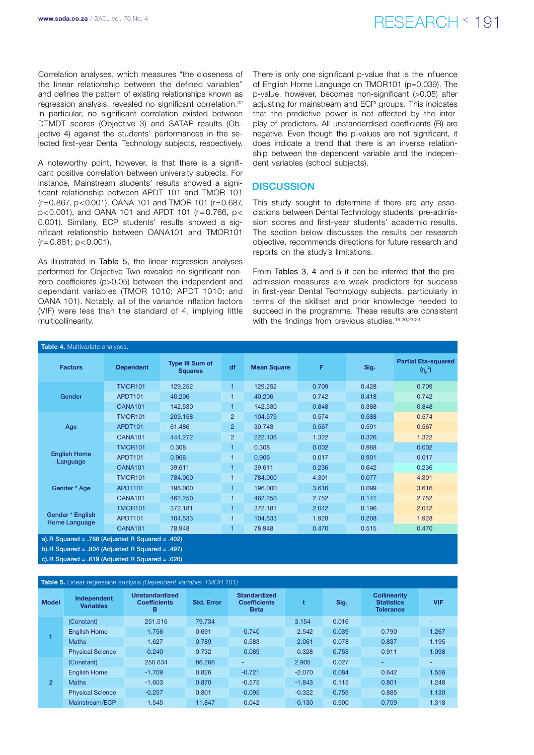# RESEARCH < 191 www.sada.co.za / SADJ Vol. 76 No. 4

Correlation analyses, which measures "the closeness of the linear relationship between the defined variables" and defines the pattern of existing relationships known as regression analysis, revealed no significant correlation.32 In particular, no significant correlation existed between DTMDT scores (Objective 3) and SATAP results (Objective 4) against the students' performances in the selected first-year Dental Technology subjects, respectively.

A noteworthy point, however, is that there is a significant positive correlation between university subjects. For instance, Mainstream students' results showed a significant relationship between APDT 101 and TMOR 101  $(r=0.867, p<0.001)$ , OANA 101 and TMOR 101  $(r=0.687, p<0.001)$ p<0.001), and OANA 101 and APDT 101 (r= 0.766, p< 0.001). Similarly, ECP students' results showed a significant relationship between OANA101 and TMOR101  $(r = 0.881; p < 0.001)$ .

As illustrated in Table 5, the linear regression analyses performed for Objective Two revealed no significant nonzero coefficients (p>0.05) between the independent and dependant variables (TMOR 1010; APDT 1010; and OANA 101). Notably, all of the variance inflation factors (VIF) were less than the standard of 4, implying little multicollinearity.

There is only one significant p-value that is the influence of English Home Language on TMOR101 (p=0.039). The p-value, however, becomes non-significant (>0.05) after adjusting for mainstream and ECP groups. This indicates that the predictive power is not affected by the interplay of predictors. All unstandardised coefficients (B) are negative. Even though the p-values are not significant, it does indicate a trend that there is an inverse relationship between the dependent variable and the independent variables (school subjects).

# **DISCUSSION**

This study sought to determine if there are any associations between Dental Technology students' pre-admission scores and first-year students' academic results. The section below discusses the results per research objective, recommends directions for future research and reports on the study's limitations.

From Tables 3, 4 and 5 it can be inferred that the preadmission measures are weak predictors for success in first-year Dental Technology subjects, particularly in terms of the skillset and prior knowledge needed to succeed in the programme. These results are consistent with the findings from previous studies.<sup>16,20,21,29</sup>

| Table 4. Multivariate analyses.   |                  |                                          |                |                    |       |       |                                               |  |  |
|-----------------------------------|------------------|------------------------------------------|----------------|--------------------|-------|-------|-----------------------------------------------|--|--|
| <b>Factors</b>                    | <b>Dependent</b> | <b>Type III Sum of</b><br><b>Squares</b> | df             | <b>Mean Square</b> | F     | Sig.  | <b>Partial Eta-squared</b><br>$(n_{\rm p}^2)$ |  |  |
|                                   | <b>TMOR101</b>   | 129.252                                  | 1              | 129.252            | 0.709 | 0.428 | 0.709                                         |  |  |
| Gender                            | APDT101          | 40.206                                   | 1              | 40.206             | 0.742 | 0.418 | 0.742                                         |  |  |
|                                   | OANA101          | 142.530                                  | 1              | 142,530            | 0.848 | 0.388 | 0.848                                         |  |  |
|                                   | <b>TMOR101</b>   | 209.158                                  | $\overline{2}$ | 104.579            | 0.574 | 0.588 | 0.574                                         |  |  |
| Age                               | APDT101          | 61.486                                   | 2              | 30.743             | 0.567 | 0.591 | 0.567                                         |  |  |
|                                   | <b>OANA101</b>   | 444.272                                  | $\overline{2}$ | 222.136            | 1.322 | 0.326 | 1.322                                         |  |  |
|                                   | <b>TMOR101</b>   | 0.308                                    | 1              | 0.308              | 0.002 | 0.968 | 0.002                                         |  |  |
| <b>English Home</b><br>Language   | APDT101          | 0.906                                    | $\overline{1}$ | 0.906              | 0.017 | 0.901 | 0.017                                         |  |  |
|                                   | <b>OANA101</b>   | 39.611                                   | 1              | 39.611             | 0.236 | 0.642 | 0.236                                         |  |  |
|                                   | <b>TMOR101</b>   | 784.000                                  | 1              | 784.000            | 4.301 | 0.077 | 4.301                                         |  |  |
| Gender * Age                      | APDT101          | 196,000                                  | 1              | 196,000            | 3.616 | 0.099 | 3.616                                         |  |  |
|                                   | OANA101          | 462.250                                  | 1              | 462.250            | 2.752 | 0.141 | 2.752                                         |  |  |
|                                   | <b>TMOR101</b>   | 372.181                                  | 1              | 372.181            | 2.042 | 0.196 | 2.042                                         |  |  |
| Gender * English<br>Home Language | APDT101          | 104.533                                  | 1              | 104.533            | 1.928 | 0.208 | 1.928                                         |  |  |
|                                   | <b>OANA101</b>   | 78.948                                   |                | 78.948             | 0.470 | 0.515 | 0.470                                         |  |  |

a). R Squared = .768 (Adjusted R Squared = .402) b).R Squared = .804 (Adjusted R Squared = .497) c).R Squared = .619 (Adjusted R Squared = .020)

| Table 5. Linear regression analysis (Dependent Variable: TMOR 101) |                                 |                                                   |                   |                                                           |          |                                                               |       |            |  |  |
|--------------------------------------------------------------------|---------------------------------|---------------------------------------------------|-------------------|-----------------------------------------------------------|----------|---------------------------------------------------------------|-------|------------|--|--|
| <b>Model</b>                                                       | Independent<br><b>Variables</b> | <b>Unstandardized</b><br><b>Coefficients</b><br>в | <b>Std. Error</b> | <b>Standardized</b><br><b>Coefficients</b><br><b>Beta</b> |          | <b>Collinearity</b><br>Sig.<br><b>Statistics</b><br>Tolerance |       | <b>VIF</b> |  |  |
|                                                                    | (Constant)                      | 251.516                                           | 79.734            | ٠                                                         | 3.154    | 0.016                                                         | ٠     | -          |  |  |
|                                                                    | <b>English Home</b>             | $-1.756$                                          | 0.691             | $-0.740$                                                  | $-2.542$ | 0.039                                                         | 0.790 | 1.267      |  |  |
|                                                                    | <b>Maths</b>                    | $-1.627$                                          | 0.789             | $-0.583$                                                  | $-2.061$ | 0.078                                                         | 0.837 | 1.195      |  |  |
|                                                                    | <b>Physical Science</b>         | $-0.240$                                          | 0.732             | $-0.089$                                                  | $-0.328$ | 0.753                                                         | 0.911 | 1.098      |  |  |
|                                                                    | (Constant)                      | 250.634                                           | 86.266            | ٠                                                         | 2.905    | 0.027                                                         | ۰     | -          |  |  |
| $\overline{2}$                                                     | <b>English Home</b>             | $-1.709$                                          | 0.826             | $-0.721$                                                  | $-2.070$ | 0.084                                                         | 0.642 | 1.556      |  |  |
|                                                                    | <b>Maths</b>                    | $-1.603$                                          | 0.870             | $-0.575$                                                  | $-1.843$ | 0.115                                                         | 0.801 | 1.248      |  |  |
|                                                                    | <b>Physical Science</b>         | $-0.257$                                          | 0.801             | $-0.095$                                                  | $-0.322$ | 0.759                                                         | 0.885 | 1.130      |  |  |
|                                                                    | Mainstream/ECP                  | $-1.545$                                          | 11.847            | $-0.042$                                                  | $-0.130$ | 0.900                                                         | 0.759 | 1.318      |  |  |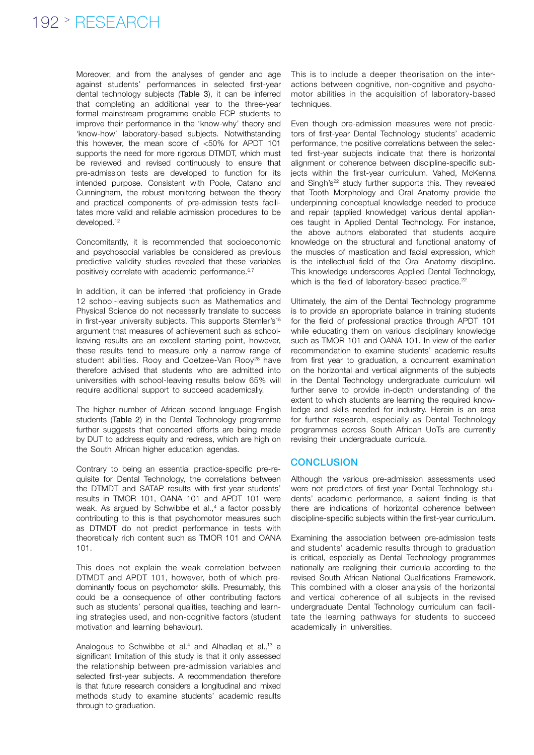Moreover, and from the analyses of gender and age against students' performances in selected first-year dental technology subjects (Table 3), it can be inferred that completing an additional year to the three-year formal mainstream programme enable ECP students to improve their performance in the 'know-why' theory and 'know-how' laboratory-based subjects. Notwithstanding this however, the mean score of <50% for APDT 101 supports the need for more rigorous DTMDT, which must be reviewed and revised continuously to ensure that pre-admission tests are developed to function for its intended purpose. Consistent with Poole, Catano and Cunningham, the robust monitoring between the theory and practical components of pre-admission tests facilitates more valid and reliable admission procedures to be developed.<sup>12</sup>

Concomitantly, it is recommended that socioeconomic and psychosocial variables be considered as previous predictive validity studies revealed that these variables positively correlate with academic performance.<sup>6,7</sup>

In addition, it can be inferred that proficiency in Grade 12 school-leaving subjects such as Mathematics and Physical Science do not necessarily translate to success in first-year university subjects. This supports Stemler's<sup>15</sup> argument that measures of achievement such as schoolleaving results are an excellent starting point, however, these results tend to measure only a narrow range of student abilities. Rooy and Coetzee-Van Rooy<sup>28</sup> have therefore advised that students who are admitted into universities with school-leaving results below 65% will require additional support to succeed academically.

The higher number of African second language English students (Table 2) in the Dental Technology programme further suggests that concerted efforts are being made by DUT to address equity and redress, which are high on the South African higher education agendas.

Contrary to being an essential practice-specific pre-requisite for Dental Technology, the correlations between the DTMDT and SATAP results with first-year students' results in TMOR 101, OANA 101 and APDT 101 were weak. As argued by Schwibbe et al.,<sup>4</sup> a factor possibly contributing to this is that psychomotor measures such as DTMDT do not predict performance in tests with theoretically rich content such as TMOR 101 and OANA 101.

This does not explain the weak correlation between DTMDT and APDT 101, however, both of which predominantly focus on psychomotor skills. Presumably, this could be a consequence of other contributing factors such as students' personal qualities, teaching and learning strategies used, and non-cognitive factors (student motivation and learning behaviour).

Analogous to Schwibbe et al.<sup>4</sup> and Alhadlaq et al.,<sup>13</sup> a significant limitation of this study is that it only assessed the relationship between pre-admission variables and selected first-year subjects. A recommendation therefore is that future research considers a longitudinal and mixed methods study to examine students' academic results through to graduation.

This is to include a deeper theorisation on the interactions between cognitive, non-cognitive and psychomotor abilities in the acquisition of laboratory-based techniques.

Even though pre-admission measures were not predictors of first-year Dental Technology students' academic performance, the positive correlations between the selected first-year subjects indicate that there is horizontal alignment or coherence between discipline-specific subjects within the first-year curriculum. Vahed, McKenna and Singh's<sup>22</sup> study further supports this. They revealed that Tooth Morphology and Oral Anatomy provide the underpinning conceptual knowledge needed to produce and repair (applied knowledge) various dental appliances taught in Applied Dental Technology. For instance, the above authors elaborated that students acquire knowledge on the structural and functional anatomy of the muscles of mastication and facial expression, which is the intellectual field of the Oral Anatomy discipline. This knowledge underscores Applied Dental Technology, which is the field of laboratory-based practice.<sup>22</sup>

Ultimately, the aim of the Dental Technology programme is to provide an appropriate balance in training students for the field of professional practice through APDT 101 while educating them on various disciplinary knowledge such as TMOR 101 and OANA 101. In view of the earlier recommendation to examine students' academic results from first year to graduation, a concurrent examination on the horizontal and vertical alignments of the subjects in the Dental Technology undergraduate curriculum will further serve to provide in-depth understanding of the extent to which students are learning the required knowledge and skills needed for industry. Herein is an area for further research, especially as Dental Technology programmes across South African UoTs are currently revising their undergraduate curricula.

## **CONCLUSION**

Although the various pre-admission assessments used were not predictors of first-year Dental Technology students' academic performance, a salient finding is that there are indications of horizontal coherence between discipline-specific subjects within the first-year curriculum.

Examining the association between pre-admission tests and students' academic results through to graduation is critical, especially as Dental Technology programmes nationally are realigning their curricula according to the revised South African National Qualifications Framework. This combined with a closer analysis of the horizontal and vertical coherence of all subjects in the revised undergraduate Dental Technology curriculum can facilitate the learning pathways for students to succeed academically in universities.